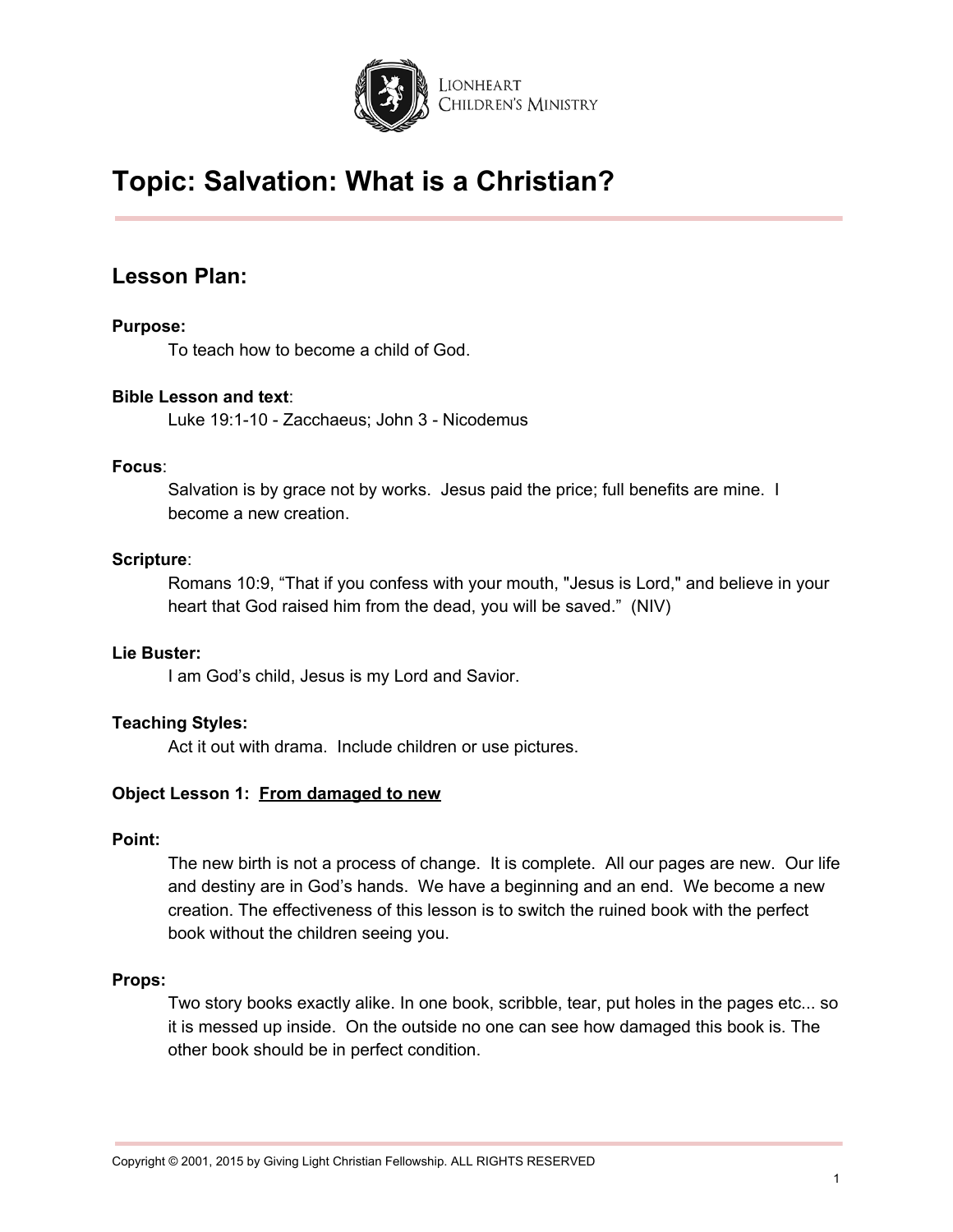

## **Lesson Plan:**

### **Purpose:**

To teach how to become a child of God.

#### **Bible Lesson and text**:

Luke 19:1-10 - Zacchaeus; John 3 - Nicodemus

#### **Focus**:

Salvation is by grace not by works. Jesus paid the price; full benefits are mine. I become a new creation.

#### **Scripture**:

Romans 10:9, "That if you confess with your mouth, "Jesus is Lord," and believe in your heart that God raised him from the dead, you will be saved." (NIV)

#### **Lie Buster:**

I am God's child, Jesus is my Lord and Savior.

#### **Teaching Styles:**

Act it out with drama. Include children or use pictures.

#### **Object Lesson 1: From damaged to new**

#### **Point:**

The new birth is not a process of change. It is complete. All our pages are new. Our life and destiny are in God's hands. We have a beginning and an end. We become a new creation. The effectiveness of this lesson is to switch the ruined book with the perfect book without the children seeing you.

#### **Props:**

Two story books exactly alike. In one book, scribble, tear, put holes in the pages etc... so it is messed up inside. On the outside no one can see how damaged this book is. The other book should be in perfect condition.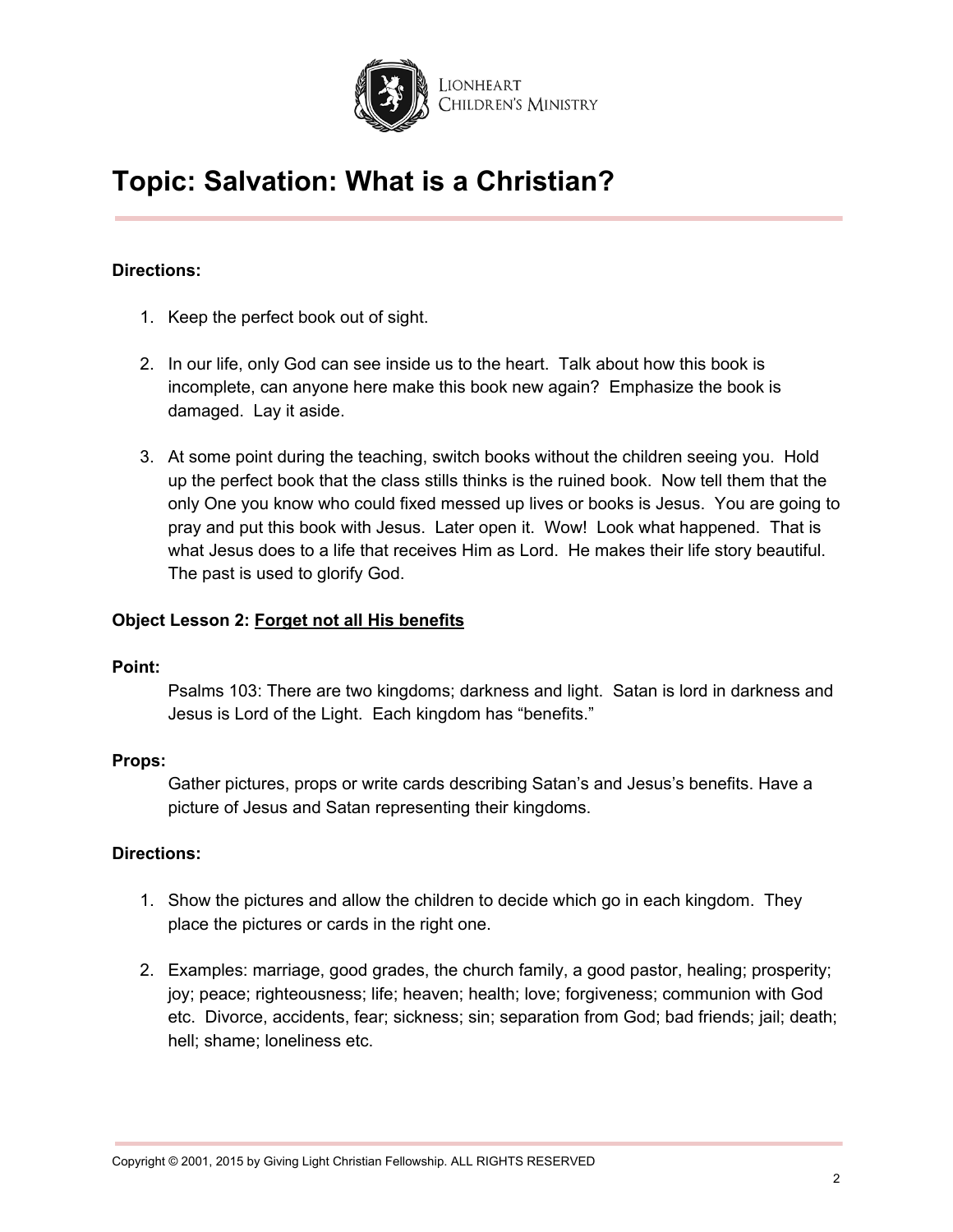

## **Directions:**

- 1. Keep the perfect book out of sight.
- 2. In our life, only God can see inside us to the heart. Talk about how this book is incomplete, can anyone here make this book new again? Emphasize the book is damaged. Lay it aside.
- 3. At some point during the teaching, switch books without the children seeing you. Hold up the perfect book that the class stills thinks is the ruined book. Now tell them that the only One you know who could fixed messed up lives or books is Jesus. You are going to pray and put this book with Jesus. Later open it. Wow! Look what happened. That is what Jesus does to a life that receives Him as Lord. He makes their life story beautiful. The past is used to glorify God.

#### **Object Lesson 2: Forget not all His benefits**

#### **Point:**

Psalms 103: There are two kingdoms; darkness and light. Satan is lord in darkness and Jesus is Lord of the Light. Each kingdom has "benefits."

#### **Props:**

Gather pictures, props or write cards describing Satan's and Jesus's benefits. Have a picture of Jesus and Satan representing their kingdoms.

#### **Directions:**

- 1. Show the pictures and allow the children to decide which go in each kingdom. They place the pictures or cards in the right one.
- 2. Examples: marriage, good grades, the church family, a good pastor, healing; prosperity; joy; peace; righteousness; life; heaven; health; love; forgiveness; communion with God etc. Divorce, accidents, fear; sickness; sin; separation from God; bad friends; jail; death; hell; shame; loneliness etc.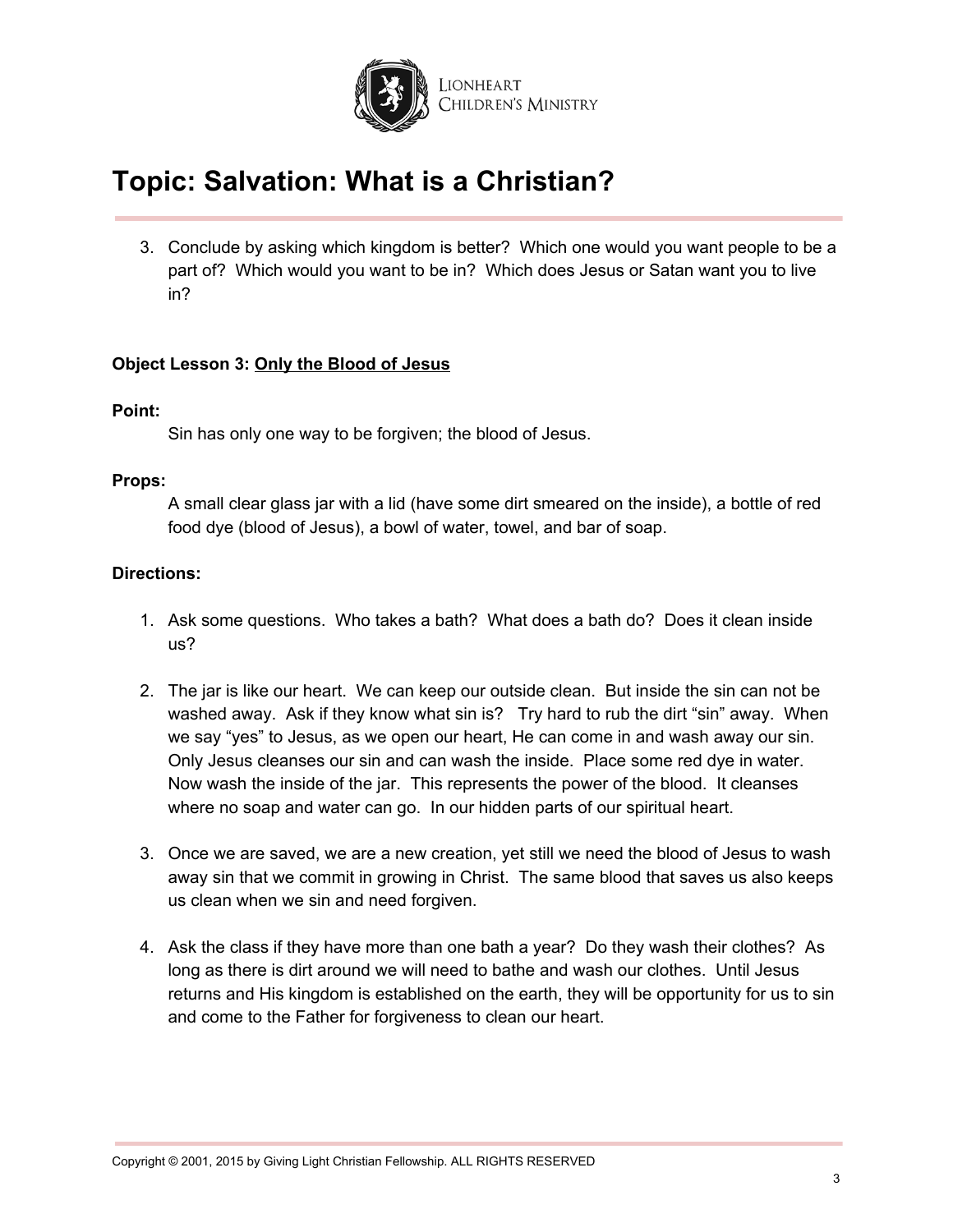

3. Conclude by asking which kingdom is better? Which one would you want people to be a part of? Which would you want to be in? Which does Jesus or Satan want you to live in?

### **Object Lesson 3: Only the Blood of Jesus**

#### **Point:**

Sin has only one way to be forgiven; the blood of Jesus.

#### **Props:**

A small clear glass jar with a lid (have some dirt smeared on the inside), a bottle of red food dye (blood of Jesus), a bowl of water, towel, and bar of soap.

#### **Directions:**

- 1. Ask some questions. Who takes a bath? What does a bath do? Does it clean inside us?
- 2. The jar is like our heart. We can keep our outside clean. But inside the sin can not be washed away. Ask if they know what sin is? Try hard to rub the dirt "sin" away. When we say "yes" to Jesus, as we open our heart, He can come in and wash away our sin. Only Jesus cleanses our sin and can wash the inside. Place some red dye in water. Now wash the inside of the jar. This represents the power of the blood. It cleanses where no soap and water can go. In our hidden parts of our spiritual heart.
- 3. Once we are saved, we are a new creation, yet still we need the blood of Jesus to wash away sin that we commit in growing in Christ. The same blood that saves us also keeps us clean when we sin and need forgiven.
- 4. Ask the class if they have more than one bath a year? Do they wash their clothes? As long as there is dirt around we will need to bathe and wash our clothes. Until Jesus returns and His kingdom is established on the earth, they will be opportunity for us to sin and come to the Father for forgiveness to clean our heart.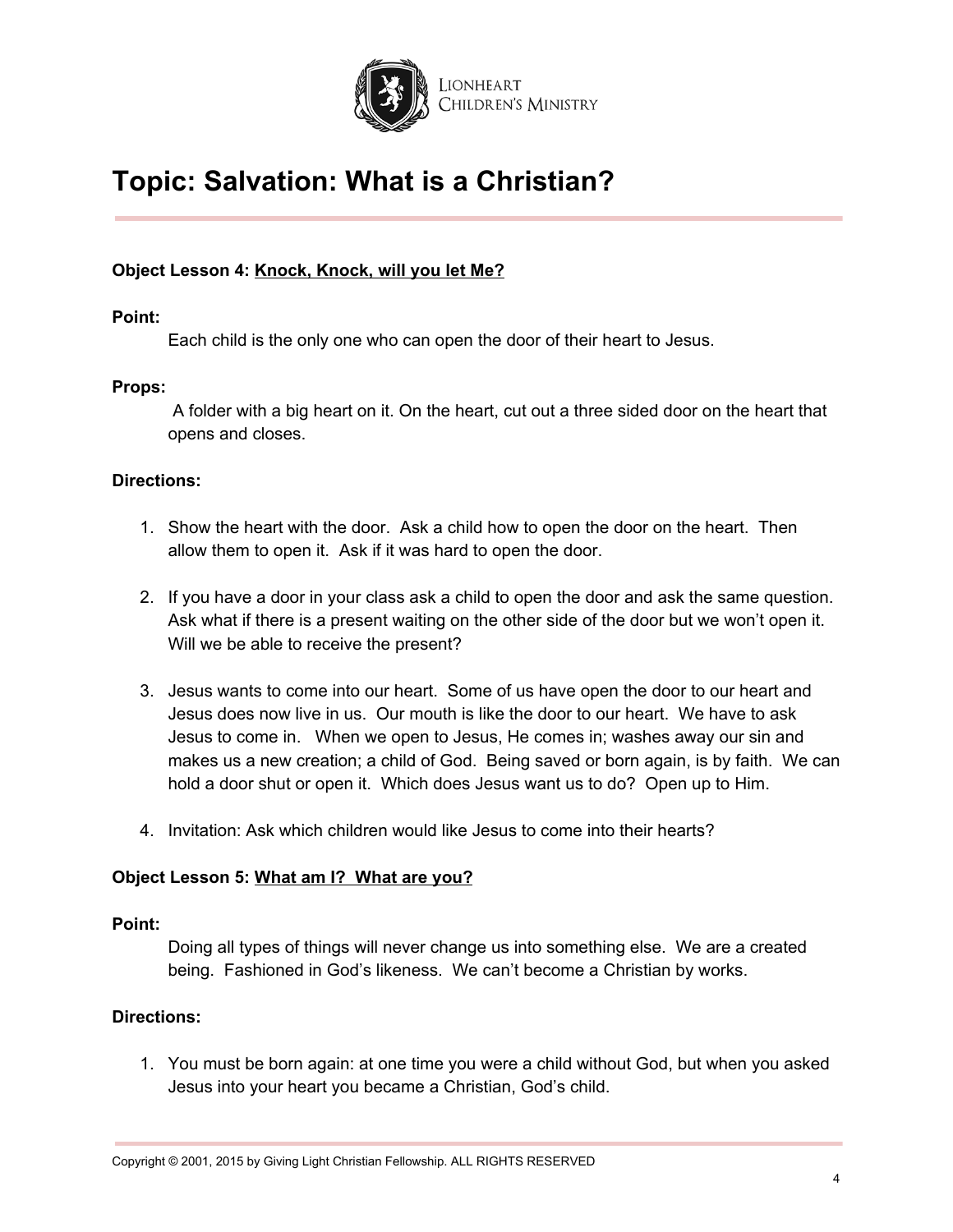

### **Object Lesson 4: Knock, Knock, will you let Me?**

#### **Point:**

Each child is the only one who can open the door of their heart to Jesus.

#### **Props:**

A folder with a big heart on it. On the heart, cut out a three sided door on the heart that opens and closes.

#### **Directions:**

- 1. Show the heart with the door. Ask a child how to open the door on the heart. Then allow them to open it. Ask if it was hard to open the door.
- 2. If you have a door in your class ask a child to open the door and ask the same question. Ask what if there is a present waiting on the other side of the door but we won't open it. Will we be able to receive the present?
- 3. Jesus wants to come into our heart. Some of us have open the door to our heart and Jesus does now live in us. Our mouth is like the door to our heart. We have to ask Jesus to come in. When we open to Jesus, He comes in; washes away our sin and makes us a new creation; a child of God. Being saved or born again, is by faith. We can hold a door shut or open it. Which does Jesus want us to do? Open up to Him.
- 4. Invitation: Ask which children would like Jesus to come into their hearts?

#### **Object Lesson 5: What am I? What are you?**

#### **Point:**

Doing all types of things will never change us into something else. We are a created being. Fashioned in God's likeness. We can't become a Christian by works.

#### **Directions:**

1. You must be born again: at one time you were a child without God, but when you asked Jesus into your heart you became a Christian, God's child.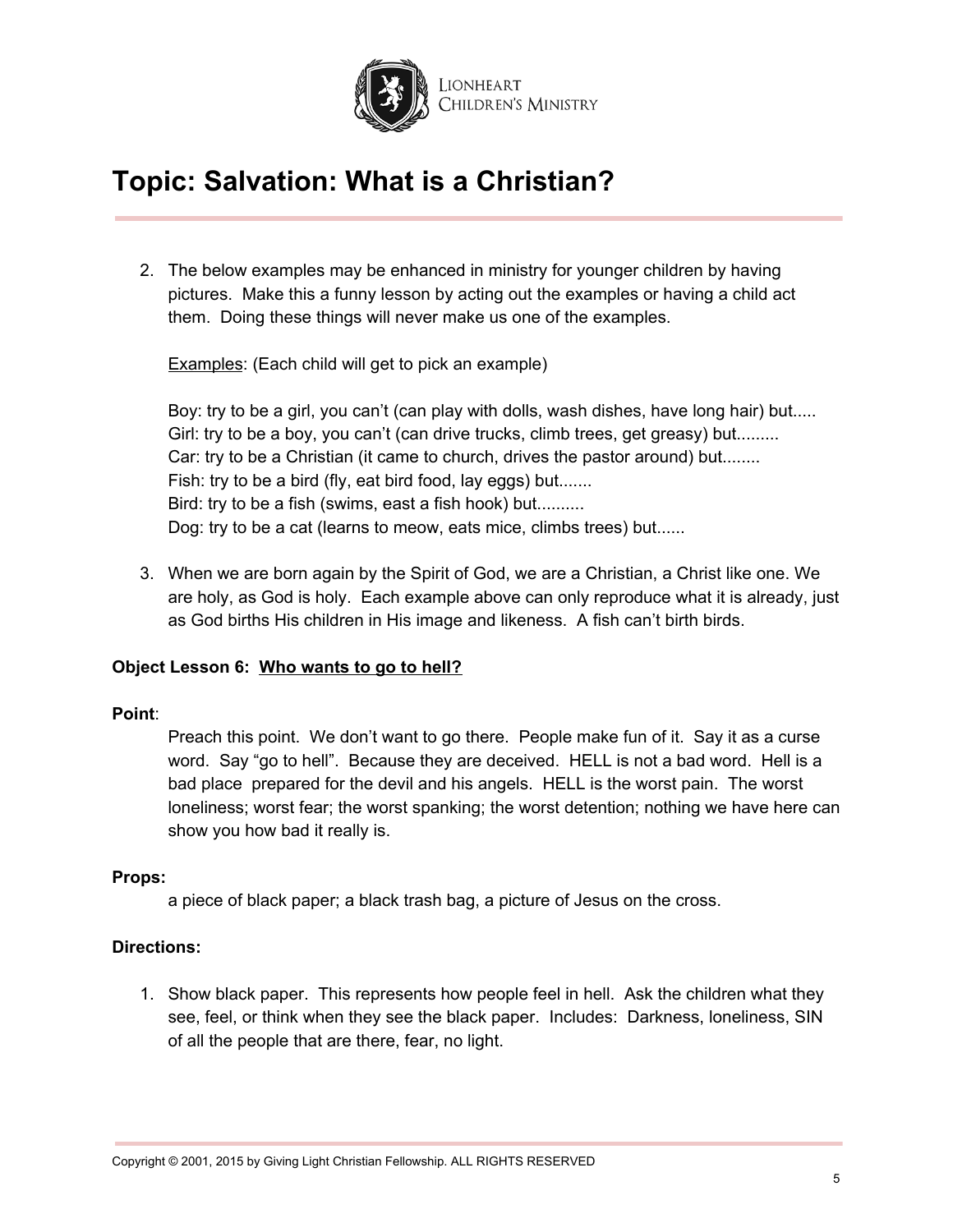

2. The below examples may be enhanced in ministry for younger children by having pictures. Make this a funny lesson by acting out the examples or having a child act them. Doing these things will never make us one of the examples.

Examples: (Each child will get to pick an example)

Boy: try to be a girl, you can't (can play with dolls, wash dishes, have long hair) but..... Girl: try to be a boy, you can't (can drive trucks, climb trees, get greasy) but........ Car: try to be a Christian (it came to church, drives the pastor around) but........ Fish: try to be a bird (fly, eat bird food, lay eggs) but....... Bird: try to be a fish (swims, east a fish hook) but.......... Dog: try to be a cat (learns to meow, eats mice, climbs trees) but......

3. When we are born again by the Spirit of God, we are a Christian, a Christ like one. We are holy, as God is holy. Each example above can only reproduce what it is already, just as God births His children in His image and likeness. A fish can't birth birds.

## **Object Lesson 6: Who wants to go to hell?**

#### **Point**:

Preach this point. We don't want to go there. People make fun of it. Say it as a curse word. Say "go to hell". Because they are deceived. HELL is not a bad word. Hell is a bad place prepared for the devil and his angels. HELL is the worst pain. The worst loneliness; worst fear; the worst spanking; the worst detention; nothing we have here can show you how bad it really is.

#### **Props:**

a piece of black paper; a black trash bag, a picture of Jesus on the cross.

#### **Directions:**

1. Show black paper. This represents how people feel in hell. Ask the children what they see, feel, or think when they see the black paper. Includes: Darkness, loneliness, SIN of all the people that are there, fear, no light.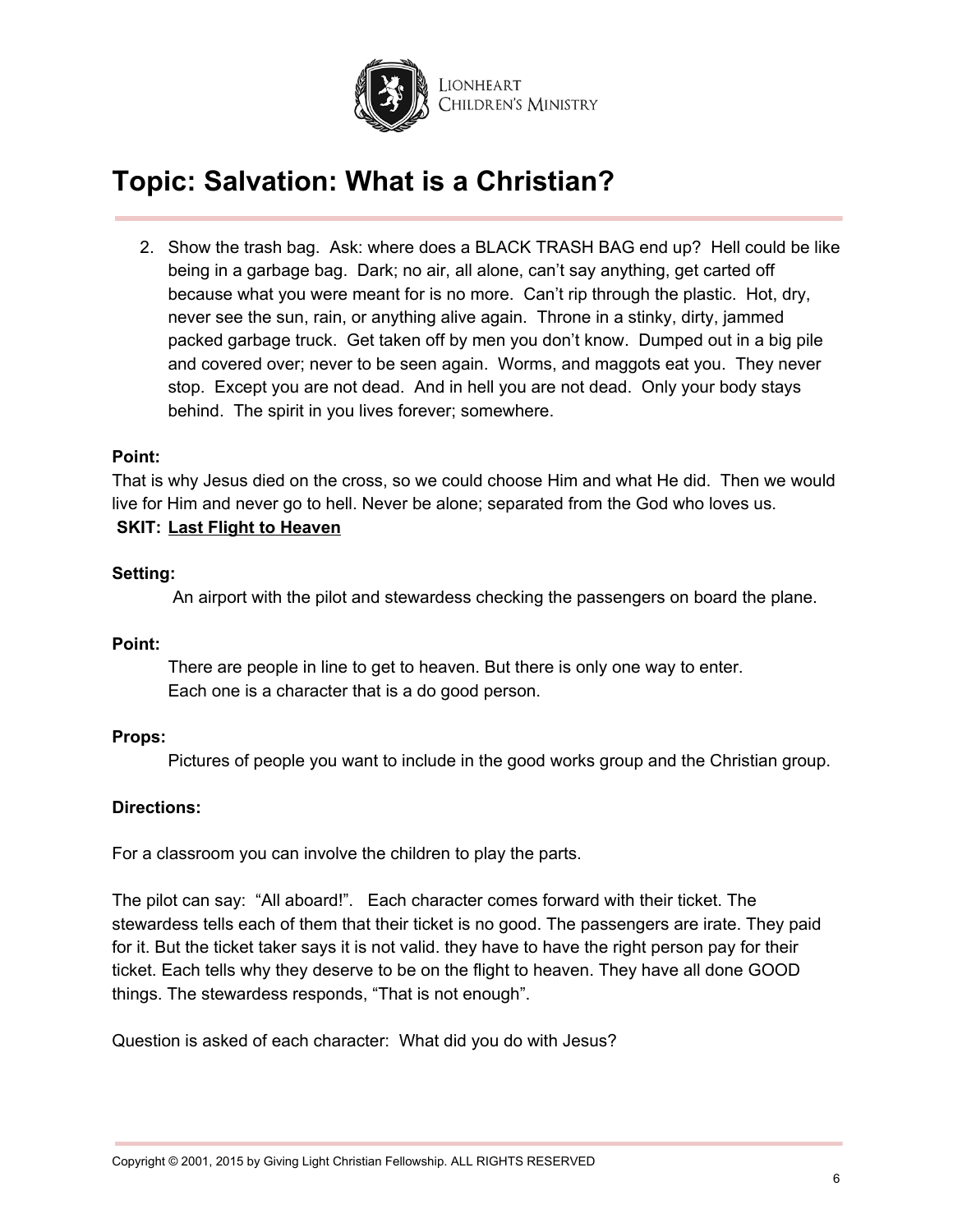

2. Show the trash bag. Ask: where does a BLACK TRASH BAG end up? Hell could be like being in a garbage bag. Dark; no air, all alone, can't say anything, get carted off because what you were meant for is no more. Can't rip through the plastic. Hot, dry, never see the sun, rain, or anything alive again. Throne in a stinky, dirty, jammed packed garbage truck. Get taken off by men you don't know. Dumped out in a big pile and covered over; never to be seen again. Worms, and maggots eat you. They never stop. Except you are not dead. And in hell you are not dead. Only your body stays behind. The spirit in you lives forever; somewhere.

#### **Point:**

That is why Jesus died on the cross, so we could choose Him and what He did. Then we would live for Him and never go to hell. Never be alone; separated from the God who loves us. **SKIT: Last Flight to Heaven**

#### **Setting:**

An airport with the pilot and stewardess checking the passengers on board the plane.

#### **Point:**

There are people in line to get to heaven. But there is only one way to enter. Each one is a character that is a do good person.

#### **Props:**

Pictures of people you want to include in the good works group and the Christian group.

#### **Directions:**

For a classroom you can involve the children to play the parts.

The pilot can say: "All aboard!". Each character comes forward with their ticket. The stewardess tells each of them that their ticket is no good. The passengers are irate. They paid for it. But the ticket taker says it is not valid. they have to have the right person pay for their ticket. Each tells why they deserve to be on the flight to heaven. They have all done GOOD things. The stewardess responds, "That is not enough".

Question is asked of each character: What did you do with Jesus?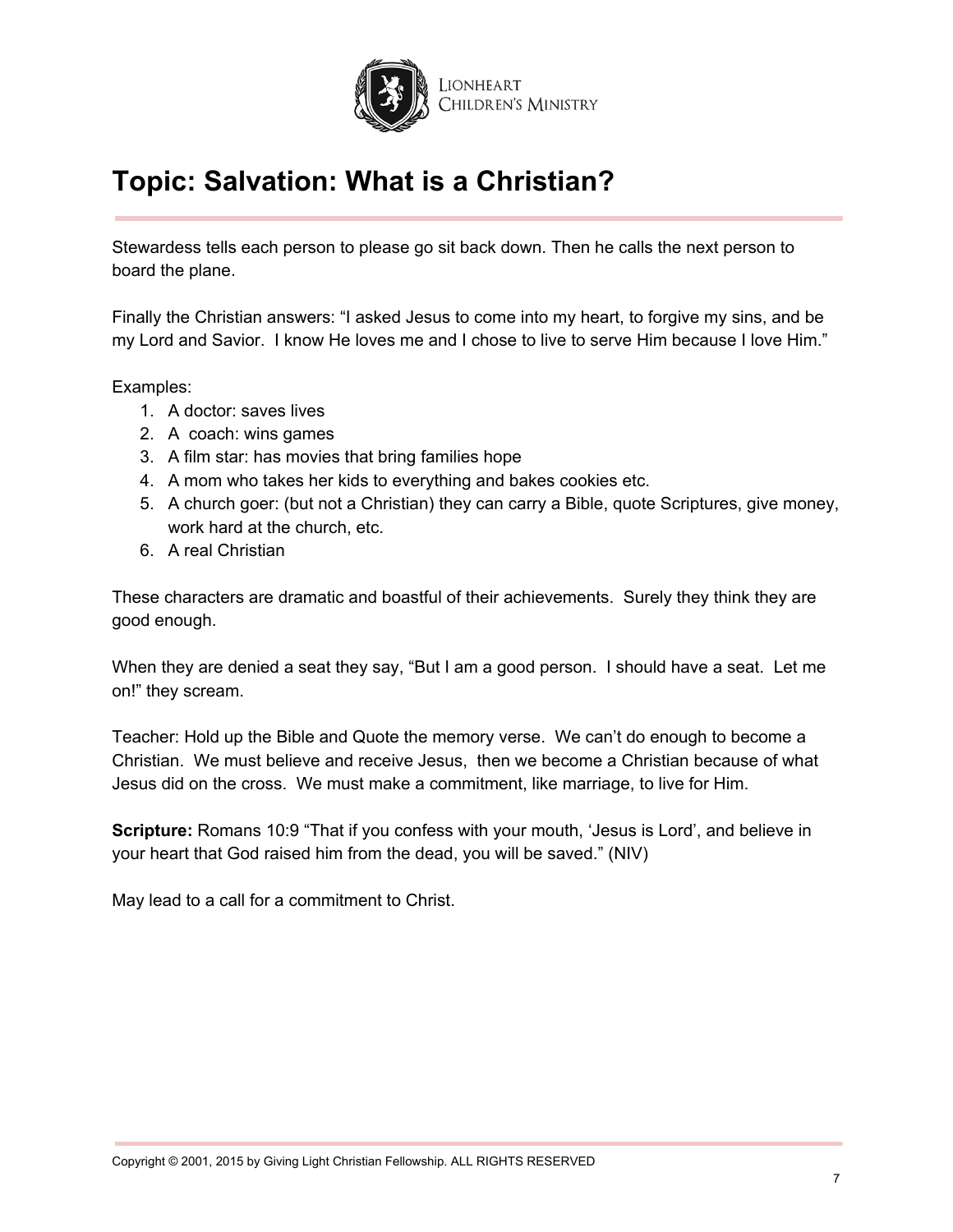

Stewardess tells each person to please go sit back down. Then he calls the next person to board the plane.

Finally the Christian answers: "I asked Jesus to come into my heart, to forgive my sins, and be my Lord and Savior. I know He loves me and I chose to live to serve Him because I love Him."

Examples:

- 1. A doctor: saves lives
- 2. A coach: wins games
- 3. A film star: has movies that bring families hope
- 4. A mom who takes her kids to everything and bakes cookies etc.
- 5. A church goer: (but not a Christian) they can carry a Bible, quote Scriptures, give money, work hard at the church, etc.
- 6. A real Christian

These characters are dramatic and boastful of their achievements. Surely they think they are good enough.

When they are denied a seat they say, "But I am a good person. I should have a seat. Let me on!" they scream.

Teacher: Hold up the Bible and Quote the memory verse. We can't do enough to become a Christian. We must believe and receive Jesus, then we become a Christian because of what Jesus did on the cross. We must make a commitment, like marriage, to live for Him.

**Scripture:** Romans 10:9 "That if you confess with your mouth, 'Jesus is Lord', and believe in your heart that God raised him from the dead, you will be saved." (NIV)

May lead to a call for a commitment to Christ.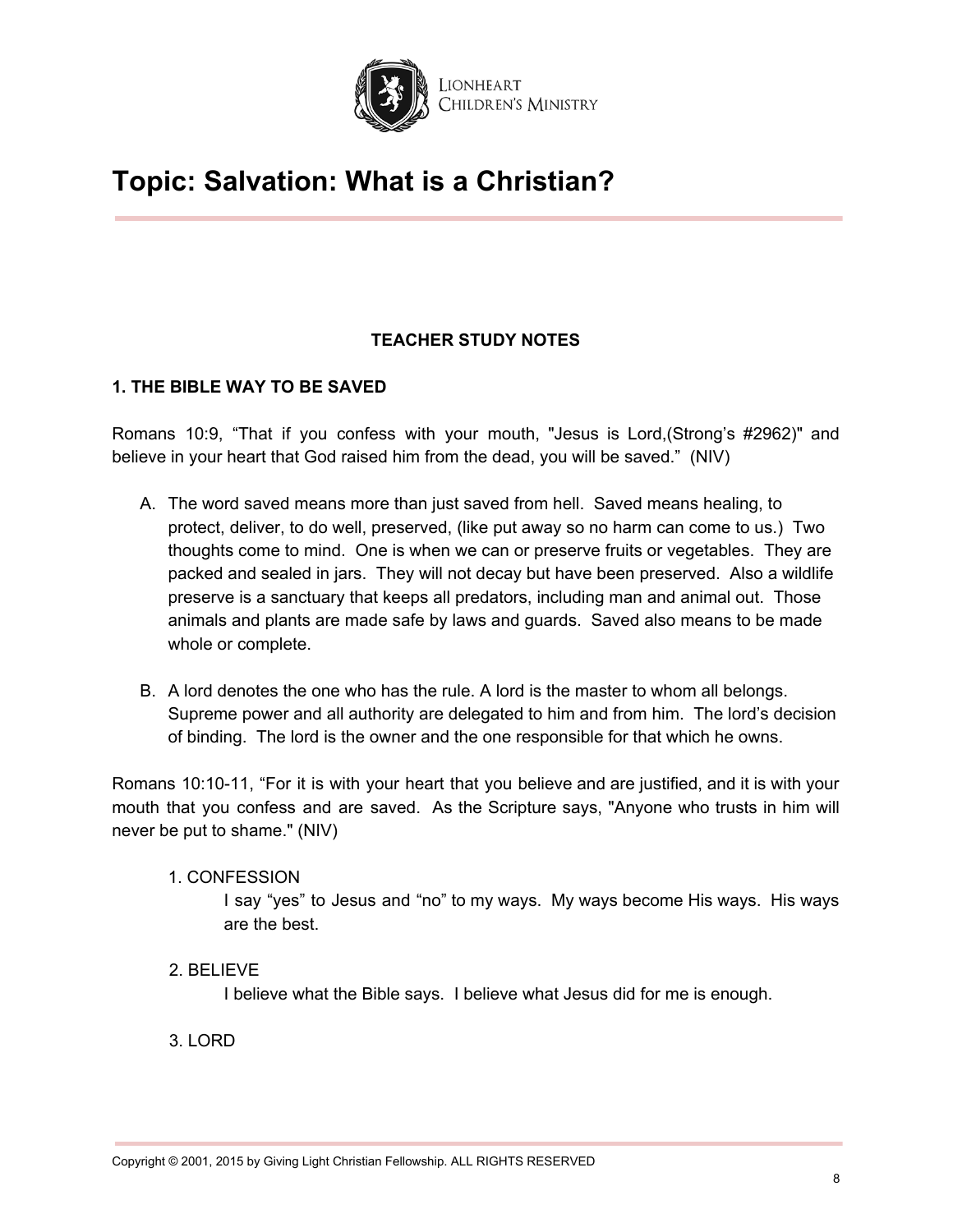

## **TEACHER STUDY NOTES**

## **1. THE BIBLE WAY TO BE SAVED**

Romans 10:9, "That if you confess with your mouth, "Jesus is Lord,(Strong's #2962)" and believe in your heart that God raised him from the dead, you will be saved." (NIV)

- A. The word saved means more than just saved from hell. Saved means healing, to protect, deliver, to do well, preserved, (like put away so no harm can come to us.) Two thoughts come to mind. One is when we can or preserve fruits or vegetables. They are packed and sealed in jars. They will not decay but have been preserved. Also a wildlife preserve is a sanctuary that keeps all predators, including man and animal out. Those animals and plants are made safe by laws and guards. Saved also means to be made whole or complete.
- B. A lord denotes the one who has the rule. A lord is the master to whom all belongs. Supreme power and all authority are delegated to him and from him. The lord's decision of binding. The lord is the owner and the one responsible for that which he owns.

Romans 10:10-11, "For it is with your heart that you believe and are justified, and it is with your mouth that you confess and are saved. As the Scripture says, "Anyone who trusts in him will never be put to shame." (NIV)

## 1. CONFESSION

I say "yes" to Jesus and "no" to my ways. My ways become His ways. His ways are the best.

## 2. BELIEVE

I believe what the Bible says. I believe what Jesus did for me is enough.

## 3. LORD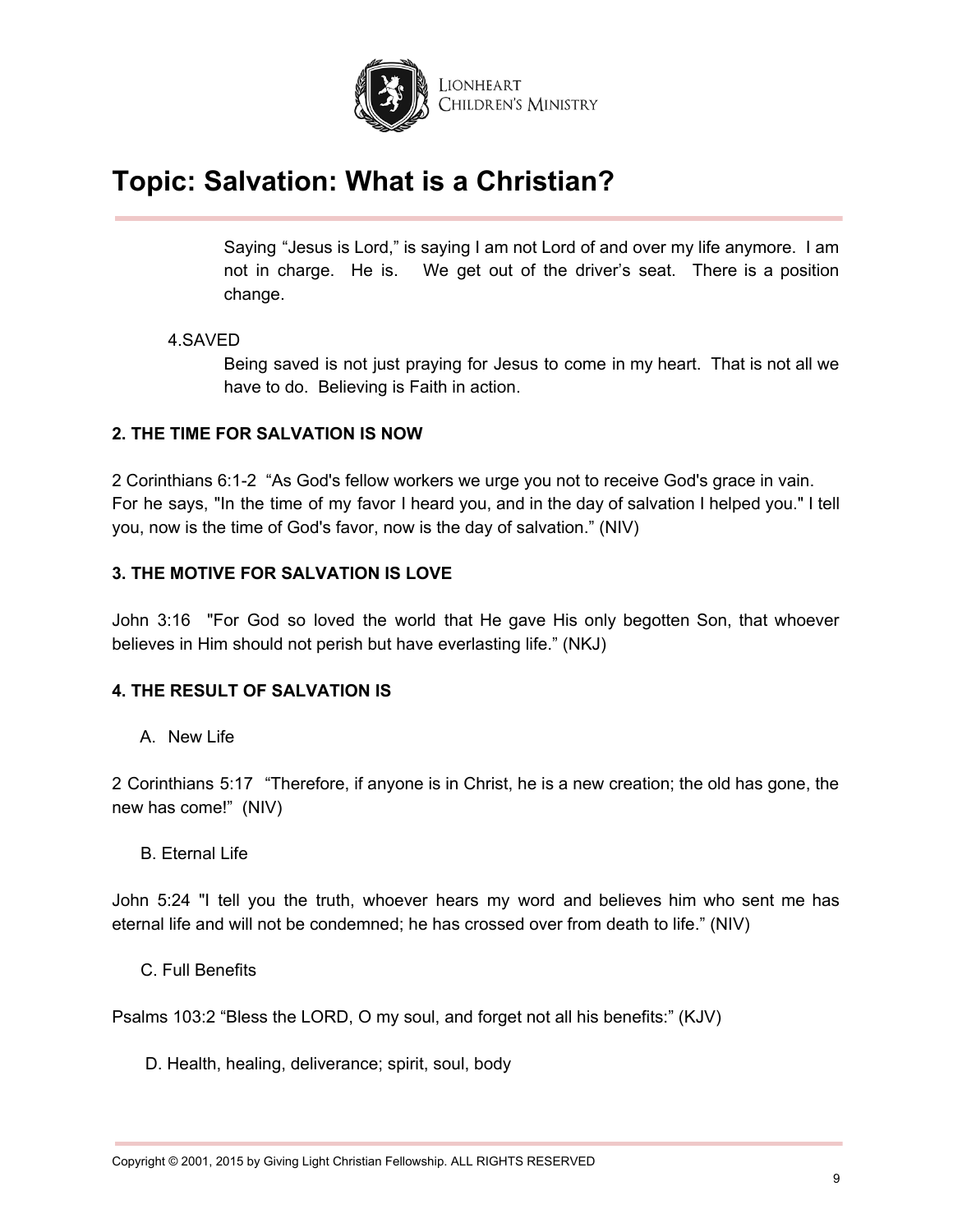

Saying "Jesus is Lord," is saying I am not Lord of and over my life anymore. I am not in charge. He is. We get out of the driver's seat. There is a position change.

#### 4.SAVED

Being saved is not just praying for Jesus to come in my heart. That is not all we have to do. Believing is Faith in action.

### **2. THE TIME FOR SALVATION IS NOW**

2 Corinthians 6:1-2 "As God's fellow workers we urge you not to receive God's grace in vain. For he says, "In the time of my favor I heard you, and in the day of salvation I helped you." I tell you, now is the time of God's favor, now is the day of salvation." (NIV)

### **3. THE MOTIVE FOR SALVATION IS LOVE**

John 3:16 "For God so loved the world that He gave His only begotten Son, that whoever believes in Him should not perish but have everlasting life." (NKJ)

## **4. THE RESULT OF SALVATION IS**

A. New Life

2 Corinthians 5:17 "Therefore, if anyone is in Christ, he is a new creation; the old has gone, the new has come!" (NIV)

B. Eternal Life

John 5:24 "I tell you the truth, whoever hears my word and believes him who sent me has eternal life and will not be condemned; he has crossed over from death to life." (NIV)

C. Full Benefits

Psalms 103:2 "Bless the LORD, O my soul, and forget not all his benefits:" (KJV)

D. Health, healing, deliverance; spirit, soul, body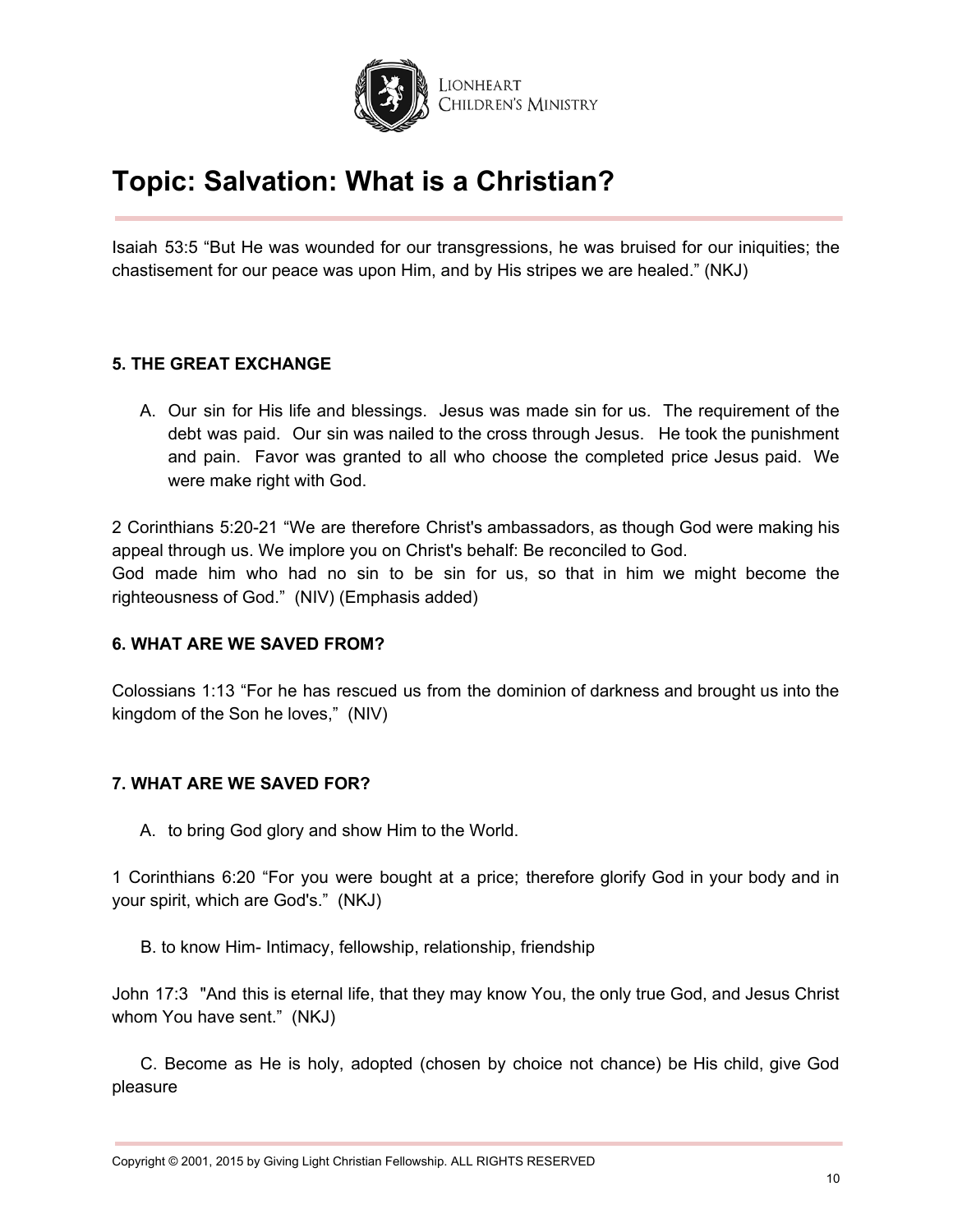

Isaiah 53:5 "But He was wounded for our transgressions, he was bruised for our iniquities; the chastisement for our peace was upon Him, and by His stripes we are healed." (NKJ)

### **5. THE GREAT EXCHANGE**

A. Our sin for His life and blessings. Jesus was made sin for us. The requirement of the debt was paid. Our sin was nailed to the cross through Jesus. He took the punishment and pain. Favor was granted to all who choose the completed price Jesus paid. We were make right with God.

2 Corinthians 5:20-21 "We are therefore Christ's ambassadors, as though God were making his appeal through us. We implore you on Christ's behalf: Be reconciled to God. God made him who had no sin to be sin for us, so that in him we might become the righteousness of God." (NIV) (Emphasis added)

#### **6. WHAT ARE WE SAVED FROM?**

Colossians 1:13 "For he has rescued us from the dominion of darkness and brought us into the kingdom of the Son he loves," (NIV)

## **7. WHAT ARE WE SAVED FOR?**

A. to bring God glory and show Him to the World.

1 Corinthians 6:20 "For you were bought at a price; therefore glorify God in your body and in your spirit, which are God's." (NKJ)

B. to know Him- Intimacy, fellowship, relationship, friendship

John 17:3 "And this is eternal life, that they may know You, the only true God, and Jesus Christ whom You have sent." (NKJ)

C. Become as He is holy, adopted (chosen by choice not chance) be His child, give God pleasure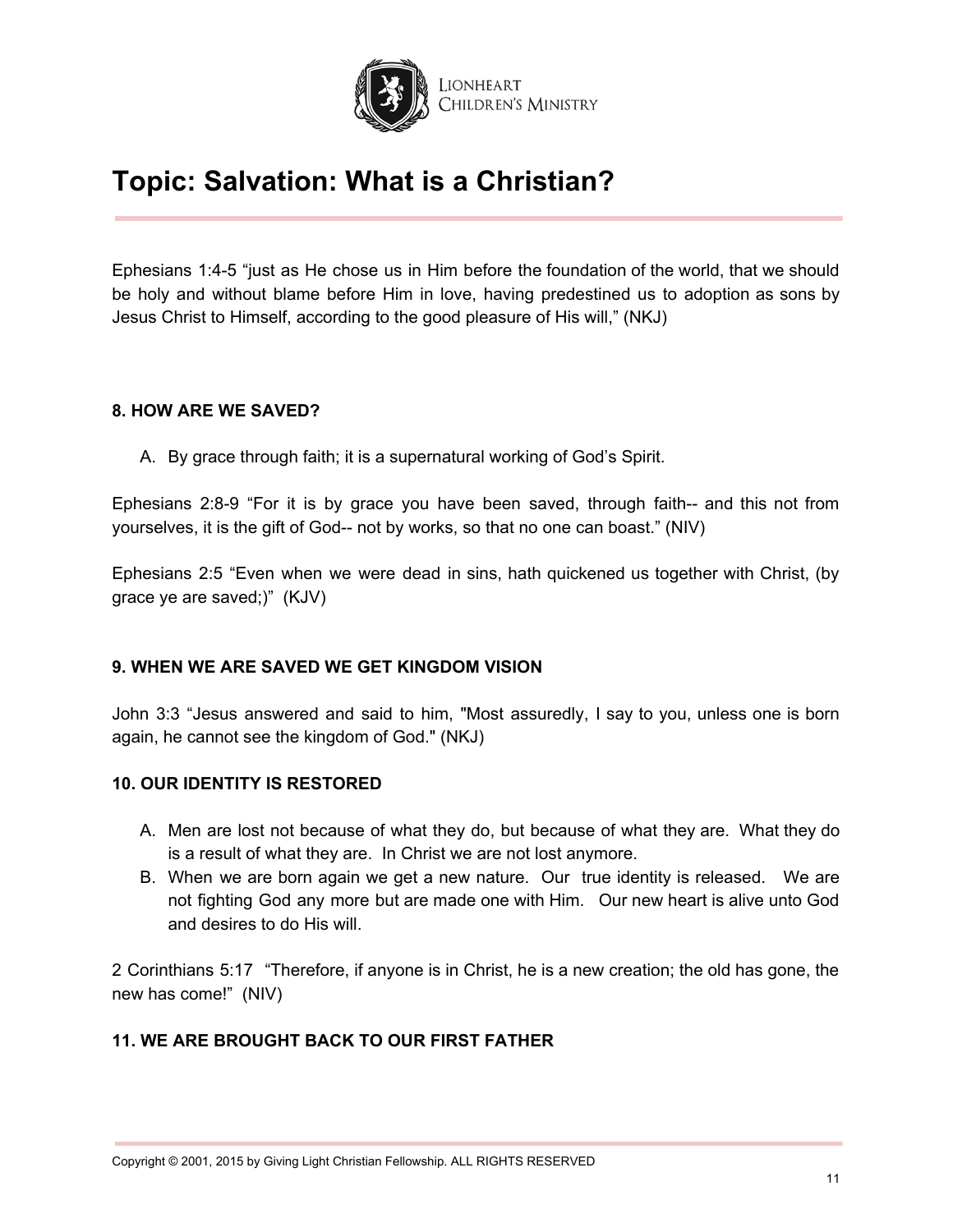

Ephesians 1:4-5 "just as He chose us in Him before the foundation of the world, that we should be holy and without blame before Him in love, having predestined us to adoption as sons by Jesus Christ to Himself, according to the good pleasure of His will," (NKJ)

### **8. HOW ARE WE SAVED?**

A. By grace through faith; it is a supernatural working of God's Spirit.

Ephesians 2:8-9 "For it is by grace you have been saved, through faith-- and this not from yourselves, it is the gift of God-- not by works, so that no one can boast." (NIV)

Ephesians 2:5 "Even when we were dead in sins, hath quickened us together with Christ, (by grace ye are saved;)" (KJV)

## **9. WHEN WE ARE SAVED WE GET KINGDOM VISION**

John 3:3 "Jesus answered and said to him, "Most assuredly, I say to you, unless one is born again, he cannot see the kingdom of God." (NKJ)

#### **10. OUR IDENTITY IS RESTORED**

- A. Men are lost not because of what they do, but because of what they are. What they do is a result of what they are. In Christ we are not lost anymore.
- B. When we are born again we get a new nature. Our true identity is released. We are not fighting God any more but are made one with Him. Our new heart is alive unto God and desires to do His will.

2 Corinthians 5:17 "Therefore, if anyone is in Christ, he is a new creation; the old has gone, the new has come!" (NIV)

## **11. WE ARE BROUGHT BACK TO OUR FIRST FATHER**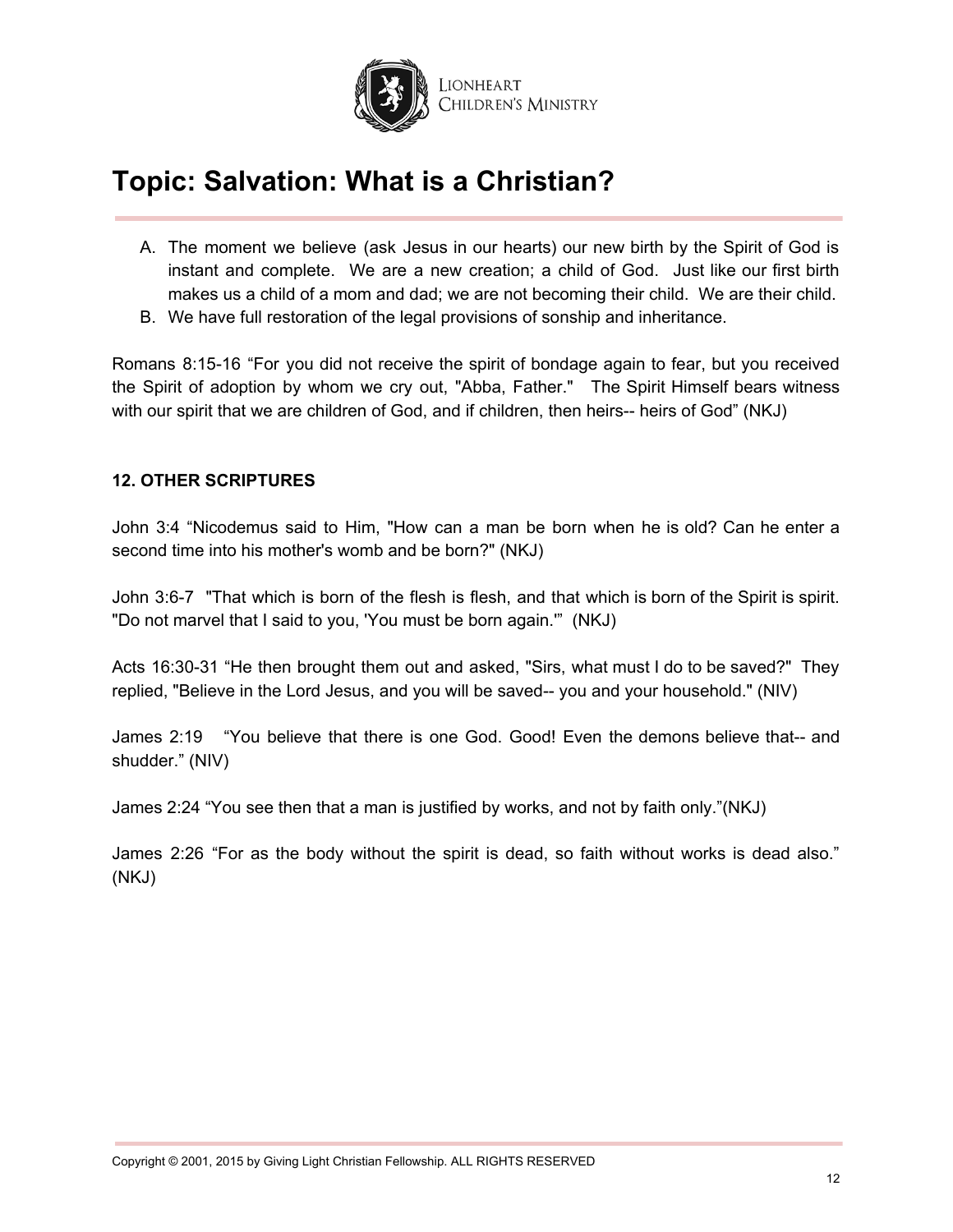

- A. The moment we believe (ask Jesus in our hearts) our new birth by the Spirit of God is instant and complete. We are a new creation; a child of God. Just like our first birth makes us a child of a mom and dad; we are not becoming their child. We are their child.
- B. We have full restoration of the legal provisions of sonship and inheritance.

Romans 8:15-16 "For you did not receive the spirit of bondage again to fear, but you received the Spirit of adoption by whom we cry out, "Abba, Father." The Spirit Himself bears witness with our spirit that we are children of God, and if children, then heirs-- heirs of God" (NKJ)

### **12. OTHER SCRIPTURES**

John 3:4 "Nicodemus said to Him, "How can a man be born when he is old? Can he enter a second time into his mother's womb and be born?" (NKJ)

John 3:6-7 "That which is born of the flesh is flesh, and that which is born of the Spirit is spirit. "Do not marvel that I said to you, 'You must be born again.'" (NKJ)

Acts 16:30-31 "He then brought them out and asked, "Sirs, what must I do to be saved?" They replied, "Believe in the Lord Jesus, and you will be saved-- you and your household." (NIV)

James 2:19 "You believe that there is one God. Good! Even the demons believe that-- and shudder." (NIV)

James 2:24 "You see then that a man is justified by works, and not by faith only."(NKJ)

James 2:26 "For as the body without the spirit is dead, so faith without works is dead also." (NKJ)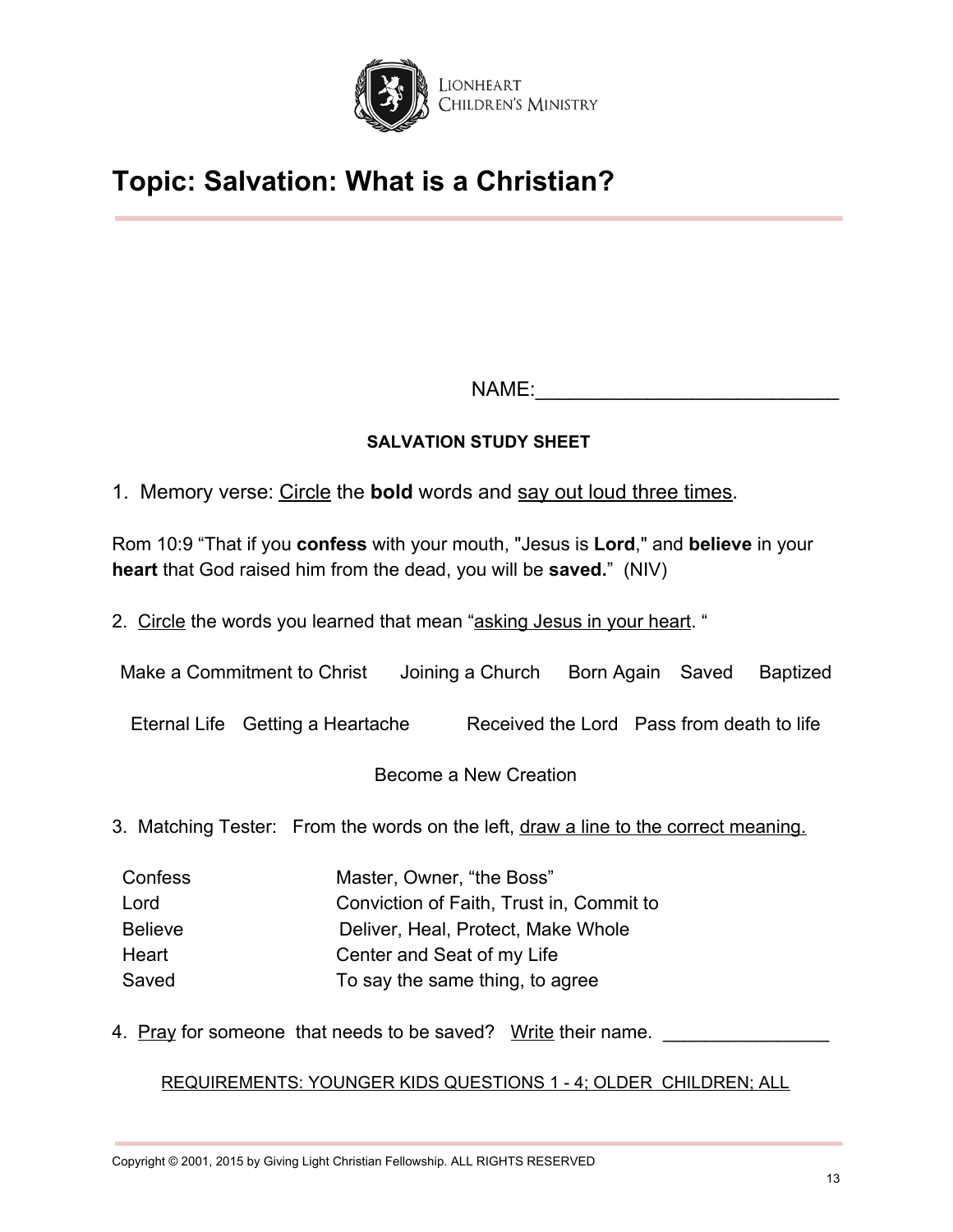

NAME:

## **SALVATION STUDY SHEET**

1. Memory verse: Circle the **bold** words and say out loud three times.

Rom 10:9 "That if you **confess** with your mouth, "Jesus is **Lord**," and **believe** in your **heart** that God raised him from the dead, you will be **saved.**" (NIV)

2. Circle the words you learned that mean "asking Jesus in your heart. "

Make a Commitment to Christ Joining a Church Born Again Saved Baptized

Eternal Life Getting a Heartache Received the Lord Pass from death to life

Become a New Creation

3. Matching Tester: From the words on the left, draw a line to the correct meaning.

| Confess        | Master, Owner, "the Boss"                |
|----------------|------------------------------------------|
| Lord           | Conviction of Faith, Trust in, Commit to |
| <b>Believe</b> | Deliver, Heal, Protect, Make Whole       |
| Heart          | Center and Seat of my Life               |
| Saved          | To say the same thing, to agree          |

4. Pray for someone that needs to be saved? Write their name.

REQUIREMENTS: YOUNGER KIDS QUESTIONS 1 - 4; OLDER CHILDREN; ALL